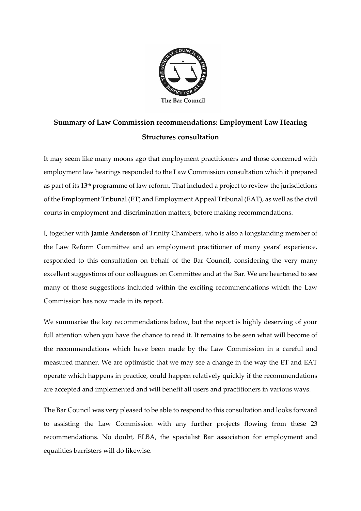

# **Summary of Law Commission recommendations: Employment Law Hearing Structures consultation**

It may seem like many moons ago that employment practitioners and those concerned with employment law hearings responded to the Law Commission consultation which it prepared as part of its 13th programme of law reform. That included a project to review the jurisdictions of the Employment Tribunal (ET) and Employment Appeal Tribunal (EAT), as well as the civil courts in employment and discrimination matters, before making recommendations.

I, together with **Jamie Anderson** of Trinity Chambers, who is also a longstanding member of the Law Reform Committee and an employment practitioner of many years' experience, responded to this consultation on behalf of the Bar Council, considering the very many excellent suggestions of our colleagues on Committee and at the Bar. We are heartened to see many of those suggestions included within the exciting recommendations which the Law Commission has now made in its report.

We summarise the key recommendations below, but the report is highly deserving of your full attention when you have the chance to read it. It remains to be seen what will become of the recommendations which have been made by the Law Commission in a careful and measured manner. We are optimistic that we may see a change in the way the ET and EAT operate which happens in practice, could happen relatively quickly if the recommendations are accepted and implemented and will benefit all users and practitioners in various ways.

The Bar Council was very pleased to be able to respond to this consultation and looks forward to assisting the Law Commission with any further projects flowing from these 23 recommendations. No doubt, ELBA, the specialist Bar association for employment and equalities barristers will do likewise.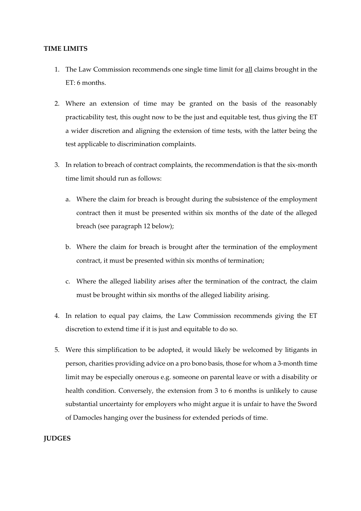### **TIME LIMITS**

- 1. The Law Commission recommends one single time limit for all claims brought in the ET: 6 months.
- 2. Where an extension of time may be granted on the basis of the reasonably practicability test, this ought now to be the just and equitable test, thus giving the ET a wider discretion and aligning the extension of time tests, with the latter being the test applicable to discrimination complaints.
- 3. In relation to breach of contract complaints, the recommendation is that the six-month time limit should run as follows:
	- a. Where the claim for breach is brought during the subsistence of the employment contract then it must be presented within six months of the date of the alleged breach (see paragraph 12 below);
	- b. Where the claim for breach is brought after the termination of the employment contract, it must be presented within six months of termination;
	- c. Where the alleged liability arises after the termination of the contract, the claim must be brought within six months of the alleged liability arising.
- 4. In relation to equal pay claims, the Law Commission recommends giving the ET discretion to extend time if it is just and equitable to do so.
- 5. Were this simplification to be adopted, it would likely be welcomed by litigants in person, charities providing advice on a pro bono basis, those for whom a 3-month time limit may be especially onerous e.g. someone on parental leave or with a disability or health condition. Conversely, the extension from 3 to 6 months is unlikely to cause substantial uncertainty for employers who might argue it is unfair to have the Sword of Damocles hanging over the business for extended periods of time.

#### **JUDGES**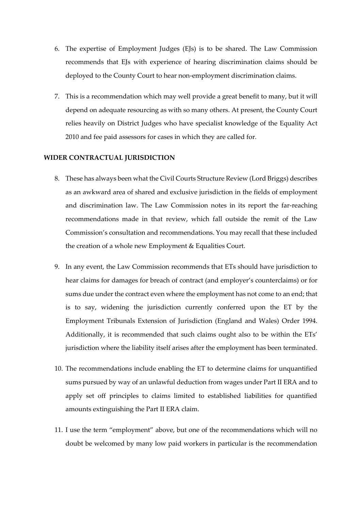- 6. The expertise of Employment Judges (EJs) is to be shared. The Law Commission recommends that EJs with experience of hearing discrimination claims should be deployed to the County Court to hear non-employment discrimination claims.
- 7. This is a recommendation which may well provide a great benefit to many, but it will depend on adequate resourcing as with so many others. At present, the County Court relies heavily on District Judges who have specialist knowledge of the Equality Act 2010 and fee paid assessors for cases in which they are called for.

# **WIDER CONTRACTUAL JURISDICTION**

- 8. These has always been what the Civil Courts Structure Review (Lord Briggs) describes as an awkward area of shared and exclusive jurisdiction in the fields of employment and discrimination law. The Law Commission notes in its report the far-reaching recommendations made in that review, which fall outside the remit of the Law Commission's consultation and recommendations. You may recall that these included the creation of a whole new Employment & Equalities Court.
- 9. In any event, the Law Commission recommends that ETs should have jurisdiction to hear claims for damages for breach of contract (and employer's counterclaims) or for sums due under the contract even where the employment has not come to an end; that is to say, widening the jurisdiction currently conferred upon the ET by the Employment Tribunals Extension of Jurisdiction (England and Wales) Order 1994. Additionally, it is recommended that such claims ought also to be within the ETs' jurisdiction where the liability itself arises after the employment has been terminated.
- 10. The recommendations include enabling the ET to determine claims for unquantified sums pursued by way of an unlawful deduction from wages under Part II ERA and to apply set off principles to claims limited to established liabilities for quantified amounts extinguishing the Part II ERA claim.
- 11. I use the term "employment" above, but one of the recommendations which will no doubt be welcomed by many low paid workers in particular is the recommendation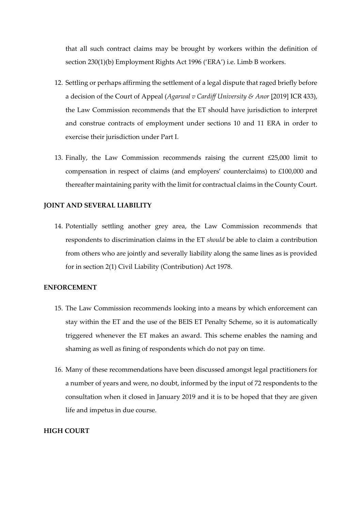that all such contract claims may be brought by workers within the definition of section 230(1)(b) Employment Rights Act 1996 ('ERA') i.e. Limb B workers.

- 12. Settling or perhaps affirming the settlement of a legal dispute that raged briefly before a decision of the Court of Appeal (*Agarwal v Cardiff University & Anor* [2019] ICR 433), the Law Commission recommends that the ET should have jurisdiction to interpret and construe contracts of employment under sections 10 and 11 ERA in order to exercise their jurisdiction under Part I.
- 13. Finally, the Law Commission recommends raising the current £25,000 limit to compensation in respect of claims (and employers' counterclaims) to £100,000 and thereafter maintaining parity with the limit for contractual claims in the County Court.

### **JOINT AND SEVERAL LIABILITY**

14. Potentially settling another grey area, the Law Commission recommends that respondents to discrimination claims in the ET *should* be able to claim a contribution from others who are jointly and severally liability along the same lines as is provided for in section 2(1) Civil Liability (Contribution) Act 1978.

#### **ENFORCEMENT**

- 15. The Law Commission recommends looking into a means by which enforcement can stay within the ET and the use of the BEIS ET Penalty Scheme, so it is automatically triggered whenever the ET makes an award. This scheme enables the naming and shaming as well as fining of respondents which do not pay on time.
- 16. Many of these recommendations have been discussed amongst legal practitioners for a number of years and were, no doubt, informed by the input of 72 respondents to the consultation when it closed in January 2019 and it is to be hoped that they are given life and impetus in due course.

# **HIGH COURT**